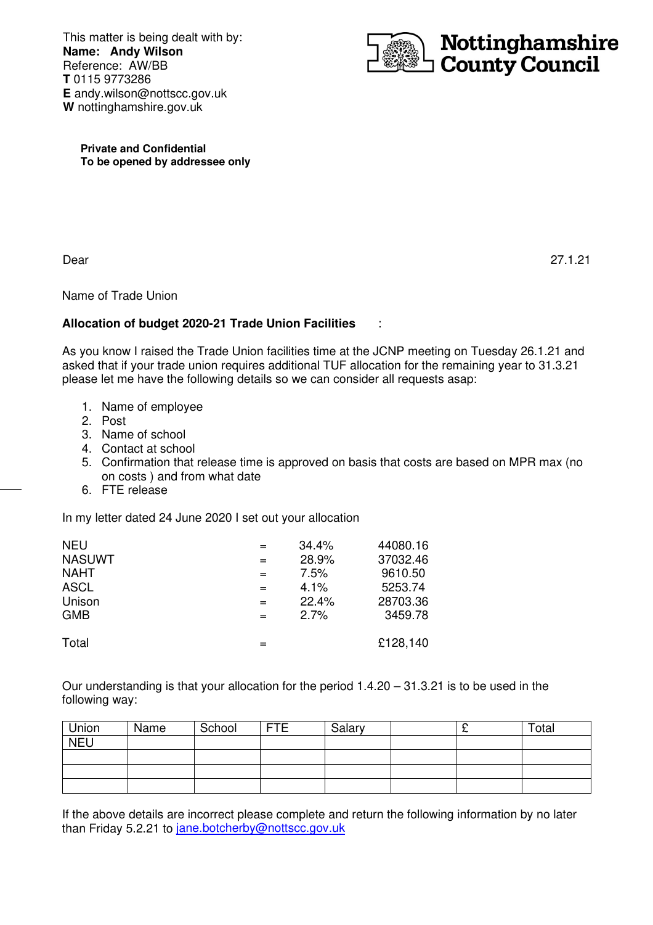This matter is being dealt with by: **Name: Andy Wilson**  Reference: AW/BB **T** 0115 9773286 **E** andy.wilson@nottscc.gov.uk **W** nottinghamshire.gov.uk



**Private and Confidential To be opened by addressee only** 

Dear

Dear 27.1.21

Name of Trade Union

## **Allocation of budget 2020-21 Trade Union Facilities** :

As you know I raised the Trade Union facilities time at the JCNP meeting on Tuesday 26.1.21 and asked that if your trade union requires additional TUF allocation for the remaining year to 31.3.21 please let me have the following details so we can consider all requests asap:

- 1. Name of employee
- 2. Post
- 3. Name of school
- 4. Contact at school
- 5. Confirmation that release time is approved on basis that costs are based on MPR max (no on costs ) and from what date
- 6. FTE release

In my letter dated 24 June 2020 I set out your allocation

| <b>NEU</b>    | $=$ | 34.4%   | 44080.16 |
|---------------|-----|---------|----------|
| <b>NASUWT</b> | $=$ | 28.9%   | 37032.46 |
| <b>NAHT</b>   | $=$ | 7.5%    | 9610.50  |
| <b>ASCL</b>   | $=$ | $4.1\%$ | 5253.74  |
| Unison        | $=$ | 22.4%   | 28703.36 |
| <b>GMB</b>    | $=$ | 2.7%    | 3459.78  |
|               |     |         |          |
| Total         |     |         | £128,140 |

Our understanding is that your allocation for the period 1.4.20 – 31.3.21 is to be used in the following way:

| Union      | Name | School | <b>FTE</b> | Salary | - | Total |
|------------|------|--------|------------|--------|---|-------|
| <b>NEU</b> |      |        |            |        |   |       |
|            |      |        |            |        |   |       |
|            |      |        |            |        |   |       |
|            |      |        |            |        |   |       |

If the above details are incorrect please complete and return the following information by no later than Friday 5.2.21 to jane.botcherby@nottscc.gov.uk